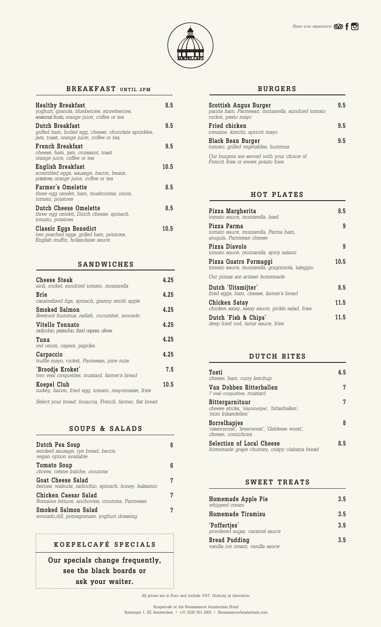

## **BREAKFAST UNTIL 2PM**

| <b>Healthy Breakfast</b><br>yoghurt, granola, blueberries, strawberries,<br>seasonal fruits, orange juice, coffee or tea | 8.5  |
|--------------------------------------------------------------------------------------------------------------------------|------|
| Dutch Breakfast<br>grilled ham, boiled egg, cheese, chocolate sprinkles,<br>jam, toast, orange juice, coffee or tea,     | 9.5  |
| French Breakfast<br>cheese, ham, jam, croissant, toast<br>orange juice, coffee or tea                                    | 9.5  |
| English Breakfast<br>scrambled eggs, sausage, bacon, beans,<br>potatoes, orange juice, coffee or tea                     | 10.5 |
| <b>Farmer's Omelette</b><br>three egg omelet, ham, mushrooms, onion,<br>tomato, potatoes                                 | 8.5  |
| Dutch Cheese Omelette<br>three egg omelet, Dutch cheese, spinach,<br>tomato, potatoes                                    | 8.5  |
| Classic Eggs Benedict<br>two poached eggs, grilled ham, potatoes,<br>English muffin, hollandaise sauce                   | 10.5 |

#### **SANDWICHES**

| <b>Cheese Steak</b><br>aioli, rocket, sundried tomato, mozzarella  | 4.25 |
|--------------------------------------------------------------------|------|
| Brie<br>caramelized figs, spinach, granny smith apple              | 4.25 |
| <b>Smoked Salmon</b><br>Beetroot hummus, radish, cucumber, avocado | 4.25 |
| Vitello Tonnato<br>radicchio, pistachio, fried capers, olives      | 4.25 |
| Tuna<br>red onion, capers, paprika                                 | 4.25 |
| Carpaccio<br>truffle mayo, rocket, Parmesan, pine nuts             | 4.25 |
| 'Broodje Kroket'<br>two veal croquettes, mustard, farmer's bread   | 7.5  |
| Koepel Club<br>turkey, bacon, fried egg, tomato, mayonnaise, fries | 10.5 |

*Select your bread: focaccia, French, farmer, flat bread*

## **SOUPS & SALADS**

| Dutch Pea Soup<br>smoked sausage, rye bread, bacon<br>vegan option available      |   |
|-----------------------------------------------------------------------------------|---|
| Tomato Soup<br>chives, crème fraîche, croutons                                    |   |
| <b>Goat Cheese Salad</b><br>berries, walnuts, radicchio, spinach, honey, balsamic | 7 |
| Chicken Caesar Salad<br>Romaine lettuce, anchovies, croutons, Parmesan            | 7 |
| Smoked Salmon Salad<br>avocado, dill, pomegranate, yoghurt dressing               | 7 |

# **3.5 KOEPELCAFÉ SPECIALS**

**Our specials change frequently, see the black boards or ask your waiter.** 

## **BURGERS**

| Scottish Angus Burger<br>parma ham, Parmesan, mozzarella, sundried tomato<br>rocket, pesto mayo | 9.5 |
|-------------------------------------------------------------------------------------------------|-----|
| Fried chicken<br>romaine, kimchi, apricot mayo                                                  | 9.5 |
| <b>Black Bean Burger</b><br>tomato, grilled vegetables, hummus                                  | 95  |
| Our burgers are served with your choice of<br>French fries or sweet potato fries                |     |

## **HOT PLATES**

| Pizza Margherita<br>tomato sauce, mozzarella, basil                             | 8.5  |
|---------------------------------------------------------------------------------|------|
| Pizza Parma<br>tomato sauce, mozzarella, Parma ham,<br>arugula, Parmesan cheese | 9    |
| Pizza Diavolo<br>tomato sauce, mozzarella, spicy salami                         | 9    |
| Pizza Quatro Formaggi<br>tomato sauce, mozzarella, gorgonzola, taleggio         | 10.5 |
| Our pizzas are artisan homemade                                                 |      |
| Dutch 'Uitsmijter'<br>fried eggs, ham, cheese, farmer's bread                   | 8.5  |
| Chicken Satay<br>chicken satay, satay sauce, pickle salad, fries                | 11.5 |
| Dutch 'Fish & Chips'<br>deep fried cod, tartar sauce, fries                     | 11.5 |

#### **DUTCH BITES**

| Tosti<br>cheese, ham, curry ketchup                                                        | 4 R |
|--------------------------------------------------------------------------------------------|-----|
| Van Dobben Bitterballen<br>7 veal croquettes, mustard                                      |     |
| Bittergarnituur<br>cheese sticks, 'vlammetjes', 'bitterballen',<br>'mini frikandellen'     |     |
| <b>Borrelhapjes</b><br>'ossenworst', 'leverworst', 'Gelderse worst',<br>cheese, cornichons |     |
| <b>Selection of Local Cheese</b><br>homemade grape chutney, crispy ciabatta bread          | 85  |

## **SWEET TREATS**

| Homemade Apple Pie<br>whipped cream                      | 3.5 |
|----------------------------------------------------------|-----|
| Homemade Tiramisu                                        | 3.5 |
| 'Poffertjes'<br>powdered sugar, caramel sauce            | 3.5 |
| <b>Bread Pudding</b><br>vanilla ice cream, vanilla sauce | 3.5 |

All prices are in Euro and include VAT. Gratuity at discretion.